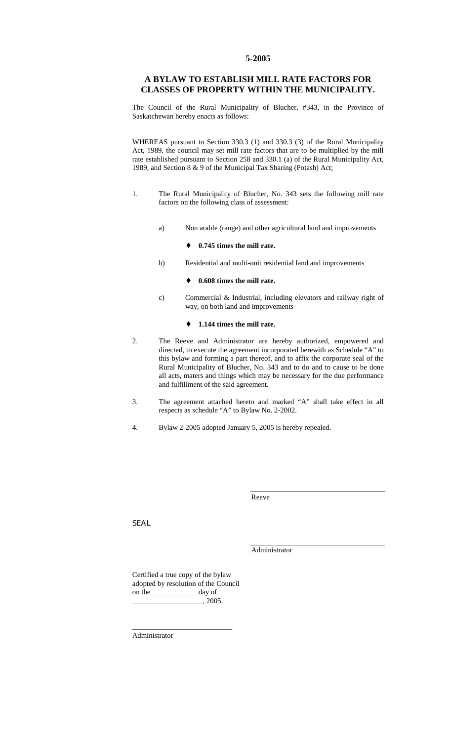### **5-2005**

## **A BYLAW TO ESTABLISH MILL RATE FACTORS FOR CLASSES OF PROPERTY WITHIN THE MUNICIPALITY.**

The Council of the Rural Municipality of Blucher, #343, in the Province of Saskatchewan hereby enacts as follows:

WHEREAS pursuant to Section 330.3 (1) and 330.3 (3) of the Rural Municipality Act, 1989, the council may set mill rate factors that are to be multiplied by the mill rate established pursuant to Section 258 and 330.1 (a) of the Rural Municipality Act, 1989, and Section 8 & 9 of the Municipal Tax Sharing (Potash) Act;

- 1. The Rural Municipality of Blucher, No. 343 sets the following mill rate factors on the following class of assessment:
	- a) Non arable (range) and other agricultural land and improvements

#### ♦ **0.745 times the mill rate.**

b) Residential and multi-unit residential land and improvements

#### ♦ **0.608 times the mill rate.**

c) Commercial & Industrial, including elevators and railway right of way, on both land and improvements

#### ♦ **1.144 times the mill rate.**

- 2. The Reeve and Administrator are hereby authorized, empowered and directed, to execute the agreement incorporated herewith as Schedule "A" to this bylaw and forming a part thereof, and to affix the corporate seal of the Rural Municipality of Blucher, No. 343 and to do and to cause to be done all acts, maters and things which may be necessary for the due performance and fulfillment of the said agreement.
- 3. The agreement attached hereto and marked "A" shall take effect in all respects as schedule "A" to Bylaw No. 2-2002.
- 4. Bylaw 2-2005 adopted January 5, 2005 is hereby repealed.

Reeve

SEAL

Administrator

Certified a true copy of the bylaw adopted by resolution of the Council on the \_\_\_\_\_\_\_\_\_\_\_\_ day of  $, 2005.$ 

\_\_\_\_\_\_\_\_\_\_\_\_\_\_\_\_\_\_\_\_\_\_\_\_\_\_\_

Administrator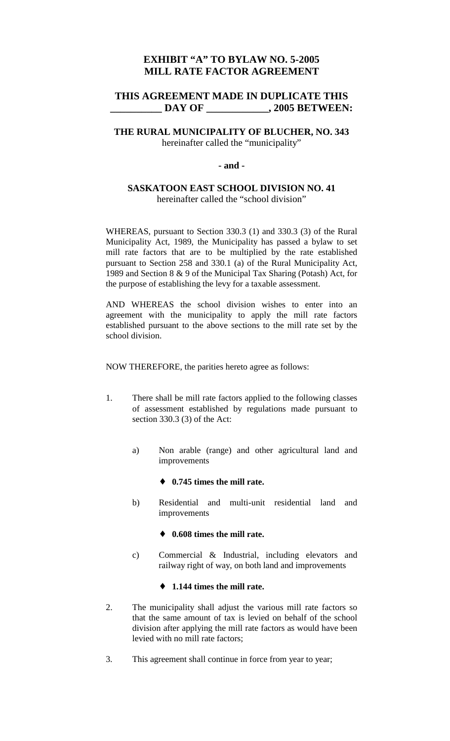# **EXHIBIT "A" TO BYLAW NO. 5-2005 MILL RATE FACTOR AGREEMENT**

# **THIS AGREEMENT MADE IN DUPLICATE THIS DAY OF**  . 2005 BETWEEN:

# **THE RURAL MUNICIPALITY OF BLUCHER, NO. 343**  hereinafter called the "municipality"

## **- and -**

# **SASKATOON EAST SCHOOL DIVISION NO. 41**  hereinafter called the "school division"

WHEREAS, pursuant to Section 330.3 (1) and 330.3 (3) of the Rural Municipality Act, 1989, the Municipality has passed a bylaw to set mill rate factors that are to be multiplied by the rate established pursuant to Section 258 and 330.1 (a) of the Rural Municipality Act, 1989 and Section 8 & 9 of the Municipal Tax Sharing (Potash) Act, for the purpose of establishing the levy for a taxable assessment.

AND WHEREAS the school division wishes to enter into an agreement with the municipality to apply the mill rate factors established pursuant to the above sections to the mill rate set by the school division.

NOW THEREFORE, the parities hereto agree as follows:

- 1. There shall be mill rate factors applied to the following classes of assessment established by regulations made pursuant to section 330.3 (3) of the Act:
	- a) Non arable (range) and other agricultural land and improvements

# ♦ **0.745 times the mill rate.**

b) Residential and multi-unit residential land and improvements

### ♦ **0.608 times the mill rate.**

c) Commercial & Industrial, including elevators and railway right of way, on both land and improvements

## ♦ **1.144 times the mill rate.**

- 2. The municipality shall adjust the various mill rate factors so that the same amount of tax is levied on behalf of the school division after applying the mill rate factors as would have been levied with no mill rate factors;
- 3. This agreement shall continue in force from year to year;